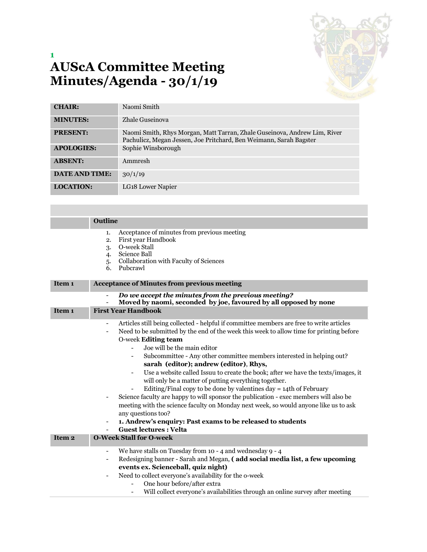

## **1 AUScA Committee Meeting Minutes/Agenda - 30/1/19**

| <b>CHAIR:</b>         | Naomi Smith                                                                                                                                     |  |
|-----------------------|-------------------------------------------------------------------------------------------------------------------------------------------------|--|
| <b>MINUTES:</b>       | Zhale Guseinova                                                                                                                                 |  |
| <b>PRESENT:</b>       | Naomi Smith, Rhys Morgan, Matt Tarran, Zhale Guseinova, Andrew Lim, River<br>Pachulicz, Megan Jessen, Joe Pritchard, Ben Weimann, Sarah Bagster |  |
| <b>APOLOGIES:</b>     | Sophie Winsborough                                                                                                                              |  |
| <b>ABSENT:</b>        | Ammresh                                                                                                                                         |  |
| <b>DATE AND TIME:</b> | 30/1/19                                                                                                                                         |  |
| <b>LOCATION:</b>      | LG <sub>18</sub> Lower Napier                                                                                                                   |  |

|                   | <b>Outline</b>                                                                                                                                                                                                                                                                                                                                                                                                                                                                                                                                                                                                                                                                                                                                                                                                                                                                                                                                                                                                                                 |  |  |
|-------------------|------------------------------------------------------------------------------------------------------------------------------------------------------------------------------------------------------------------------------------------------------------------------------------------------------------------------------------------------------------------------------------------------------------------------------------------------------------------------------------------------------------------------------------------------------------------------------------------------------------------------------------------------------------------------------------------------------------------------------------------------------------------------------------------------------------------------------------------------------------------------------------------------------------------------------------------------------------------------------------------------------------------------------------------------|--|--|
|                   | Acceptance of minutes from previous meeting<br>1.<br>First year Handbook<br>$\overline{2}$ .<br>O-week Stall<br>3.<br>Science Ball<br>4.<br>Collaboration with Faculty of Sciences<br>5.<br>Pubcrawl<br>6.                                                                                                                                                                                                                                                                                                                                                                                                                                                                                                                                                                                                                                                                                                                                                                                                                                     |  |  |
| Item <sub>1</sub> | <b>Acceptance of Minutes from previous meeting</b>                                                                                                                                                                                                                                                                                                                                                                                                                                                                                                                                                                                                                                                                                                                                                                                                                                                                                                                                                                                             |  |  |
|                   | Do we accept the minutes from the previous meeting?<br>$\overline{\phantom{a}}$<br>Moved by naomi, seconded by joe, favoured by all opposed by none<br>$\overline{\phantom{0}}$                                                                                                                                                                                                                                                                                                                                                                                                                                                                                                                                                                                                                                                                                                                                                                                                                                                                |  |  |
| Item 1            | <b>First Year Handbook</b>                                                                                                                                                                                                                                                                                                                                                                                                                                                                                                                                                                                                                                                                                                                                                                                                                                                                                                                                                                                                                     |  |  |
|                   | Articles still being collected - helpful if committee members are free to write articles<br>Need to be submitted by the end of the week this week to allow time for printing before<br>$\overline{\phantom{a}}$<br>O-week Editing team<br>Joe will be the main editor<br>Subcommittee - Any other committee members interested in helping out?<br>$\overline{\phantom{0}}$<br>sarah (editor); andrew (editor), Rhys,<br>Use a website called Issuu to create the book; after we have the texts/images, it<br>$\overline{\phantom{0}}$<br>will only be a matter of putting everything together.<br>Editing/Final copy to be done by valentines $day = 14$ th of February<br>Science faculty are happy to will sponsor the publication - exec members will also be<br>$\qquad \qquad \blacksquare$<br>meeting with the science faculty on Monday next week, so would anyone like us to ask<br>any questions too?<br>1. Andrew's enquiry: Past exams to be released to students<br>$\overline{\phantom{a}}$<br><b>Guest lectures : Velta</b><br>- |  |  |
| Item <sub>2</sub> | <b>O-Week Stall for O-week</b>                                                                                                                                                                                                                                                                                                                                                                                                                                                                                                                                                                                                                                                                                                                                                                                                                                                                                                                                                                                                                 |  |  |
|                   | We have stalls on Tuesday from 10 - 4 and wednesday 9 - 4<br>-<br>Redesigning banner - Sarah and Megan, (add social media list, a few upcoming<br>$\qquad \qquad \blacksquare$<br>events ex. Scienceball, quiz night)<br>Need to collect everyone's availability for the o-week<br>$\overline{\phantom{a}}$<br>One hour before/after extra<br>Will collect everyone's availabilities through an online survey after meeting<br>$\overline{\phantom{0}}$                                                                                                                                                                                                                                                                                                                                                                                                                                                                                                                                                                                        |  |  |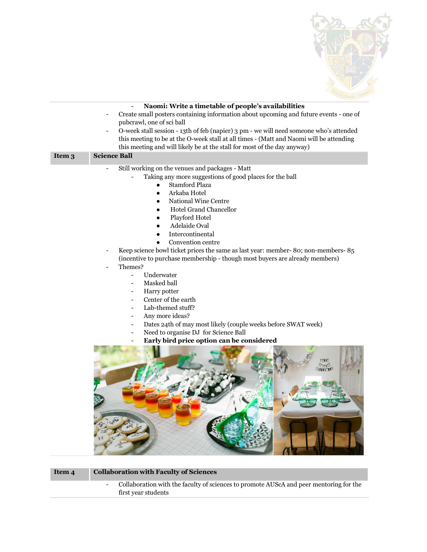

|        | Naomi: Write a timetable of people's availabilities                                     |
|--------|-----------------------------------------------------------------------------------------|
|        | Create small posters containing information about upcoming and future events - one of   |
|        | pubcrawl, one of sci ball                                                               |
|        | O-week stall session - 13th of feb (napier) 3 pm - we will need someone who's attended  |
|        | this meeting to be at the O-week stall at all times - (Matt and Naomi will be attending |
|        | this meeting and will likely be at the stall for most of the day anyway)                |
| Item 3 | <b>Science Ball</b>                                                                     |
|        | Still working on the venues and packages - Matt                                         |
|        | Taking any more suggestions of good places for the ball                                 |
|        | Stamford Plaza                                                                          |
|        | Arkaba Hotel                                                                            |
|        | National Wine Centre                                                                    |
|        | <b>Hotel Grand Chancellor</b><br>$\bullet$                                              |
|        | Playford Hotel                                                                          |
|        | Adelaide Oval                                                                           |
|        | Intercontinental                                                                        |
|        | Convention centre                                                                       |
|        | Keep science bowl ticket prices the same as last year: member-80; non-members-85        |
|        | (incentive to purchase membership - though most buyers are already members)             |
|        | Themes?                                                                                 |
|        | Underwater                                                                              |
|        | Masked ball<br>$\overline{a}$                                                           |
|        | Harry potter<br>-                                                                       |
|        | Center of the earth<br>$\overline{a}$                                                   |
|        | Lab-themed stuff?<br>$\overline{a}$                                                     |
|        | Any more ideas?<br>$\overline{a}$                                                       |
|        | Dates 24th of may most likely (couple weeks before SWAT week)<br>-                      |
|        | Need to organise DJ for Science Ball<br>$\overline{a}$                                  |
|        | Early bird price option can be considered                                               |
|        |                                                                                         |
|        |                                                                                         |
|        |                                                                                         |
|        |                                                                                         |
|        |                                                                                         |
|        |                                                                                         |
|        |                                                                                         |
|        |                                                                                         |
|        |                                                                                         |
|        |                                                                                         |
|        |                                                                                         |
|        |                                                                                         |
|        |                                                                                         |

**Item 4 Collaboration with Faculty of Sciences** 

- Collaboration with the faculty of sciences to promote AUScA and peer mentoring for the first year students